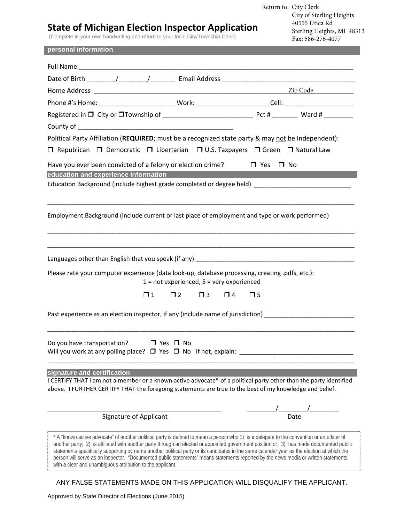## **State of Michigan Election Inspector Application**

(Complete in your own handwriting and return to your local City/Township Clerk)

Return to: City Clerk City of Sterling Heights 40555 Utica Rd Sterling Heights, MI 48313 Fax: 586-276-4077

## **personal information**

| Political Party Affiliation (REQUIRED; must be a recognized state party & may not be Independent):                                                                                                                                                          |                                                                                                                                                                                                                                                                                                                                                                                                                                                                                                                                                                              |                         |                      |
|-------------------------------------------------------------------------------------------------------------------------------------------------------------------------------------------------------------------------------------------------------------|------------------------------------------------------------------------------------------------------------------------------------------------------------------------------------------------------------------------------------------------------------------------------------------------------------------------------------------------------------------------------------------------------------------------------------------------------------------------------------------------------------------------------------------------------------------------------|-------------------------|----------------------|
| □ Republican □ Democratic □ Libertarian □ U.S. Taxpayers □ Green □ Natural Law                                                                                                                                                                              |                                                                                                                                                                                                                                                                                                                                                                                                                                                                                                                                                                              |                         |                      |
| Have you ever been convicted of a felony or election crime? $\Box$ Yes $\Box$ No                                                                                                                                                                            |                                                                                                                                                                                                                                                                                                                                                                                                                                                                                                                                                                              |                         |                      |
| education and experience information                                                                                                                                                                                                                        |                                                                                                                                                                                                                                                                                                                                                                                                                                                                                                                                                                              |                         |                      |
| Education Background (include highest grade completed or degree held) ______________________________                                                                                                                                                        |                                                                                                                                                                                                                                                                                                                                                                                                                                                                                                                                                                              |                         |                      |
| Employment Background (include current or last place of employment and type or work performed)                                                                                                                                                              |                                                                                                                                                                                                                                                                                                                                                                                                                                                                                                                                                                              |                         |                      |
| Please rate your computer experience (data look-up, database processing, creating .pdfs, etc.):<br>$1 = not experienced, 5 = very experienced$                                                                                                              |                                                                                                                                                                                                                                                                                                                                                                                                                                                                                                                                                                              |                         |                      |
|                                                                                                                                                                                                                                                             | $\square$ 2<br>$\Box$ 3<br>$\Box$ 1                                                                                                                                                                                                                                                                                                                                                                                                                                                                                                                                          | $\Box$ 4<br>$\square$ 5 |                      |
| Past experience as an election inspector, if any (include name of jurisdiction) [10] [10] Past experience as an election inspector, if any (include name of jurisdiction)                                                                                   |                                                                                                                                                                                                                                                                                                                                                                                                                                                                                                                                                                              |                         |                      |
| Do you have transportation? $\Box$ Yes $\Box$ No<br>Will you work at any polling place? $\Box$ Yes $\Box$ No If not, explain:                                                                                                                               |                                                                                                                                                                                                                                                                                                                                                                                                                                                                                                                                                                              |                         |                      |
| signature and certification<br>I CERTIFY THAT I am not a member or a known active advocate* of a political party other than the party identified<br>above. I FURTHER CERTIFY THAT the foregoing statements are true to the best of my knowledge and belief. |                                                                                                                                                                                                                                                                                                                                                                                                                                                                                                                                                                              |                         |                      |
|                                                                                                                                                                                                                                                             | <b>Signature of Applicant</b>                                                                                                                                                                                                                                                                                                                                                                                                                                                                                                                                                |                         | /_________/_<br>Date |
|                                                                                                                                                                                                                                                             | * A "known active advocate" of another political party is defined to mean a person who 1) is a delegate to the convention or an officer of<br>another party; 2) is affiliated with another party through an elected or appointed government position or; 3) has made documented public<br>statements specifically supporting by name another political party or its candidates in the same calendar year as the election at which the<br>person will serve as an inspector. "Documented public statements" means statements reported by the news media or written statements |                         |                      |

with a clear and unambiguous attribution to the applicant.

ANY FALSE STATEMENTS MADE ON THIS APPLICATION WILL DISQUALIFY THE APPLICANT.